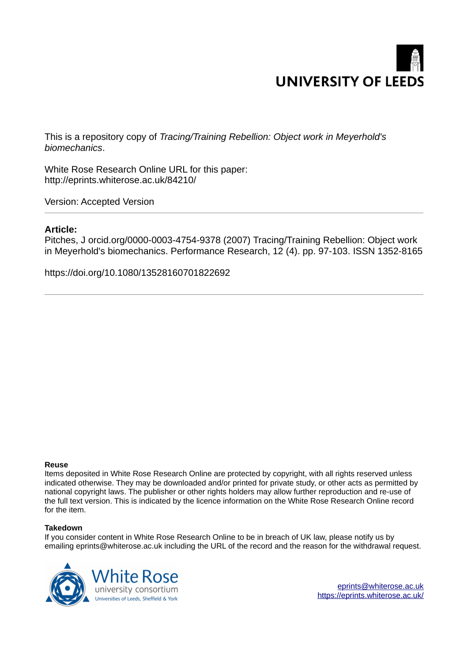

This is a repository copy of *Tracing/Training Rebellion: Object work in Meyerhold's biomechanics*.

White Rose Research Online URL for this paper: http://eprints.whiterose.ac.uk/84210/

Version: Accepted Version

### **Article:**

Pitches, J orcid.org/0000-0003-4754-9378 (2007) Tracing/Training Rebellion: Object work in Meyerhold's biomechanics. Performance Research, 12 (4). pp. 97-103. ISSN 1352-8165

https://doi.org/10.1080/13528160701822692

#### **Reuse**

Items deposited in White Rose Research Online are protected by copyright, with all rights reserved unless indicated otherwise. They may be downloaded and/or printed for private study, or other acts as permitted by national copyright laws. The publisher or other rights holders may allow further reproduction and re-use of the full text version. This is indicated by the licence information on the White Rose Research Online record for the item.

#### **Takedown**

If you consider content in White Rose Research Online to be in breach of UK law, please notify us by emailing eprints@whiterose.ac.uk including the URL of the record and the reason for the withdrawal request.



eprints@whiterose.ac.uk https://eprints.whiterose.ac.uk/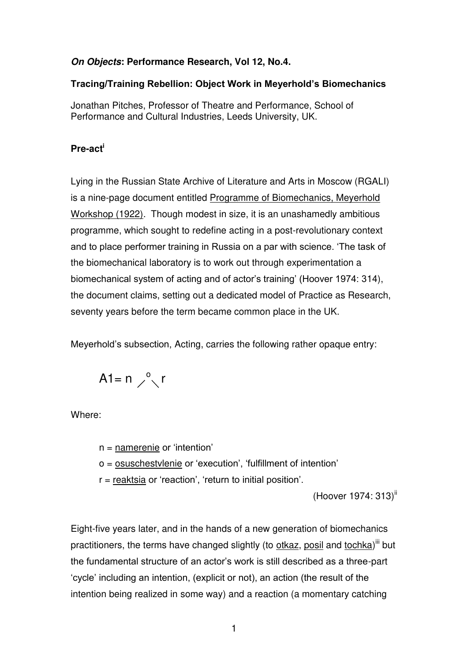## *On Objects***: Performance Research, Vol 12, No.4.**

### **Tracing/Training Rebellion: Object Work in Meyerhold's Biomechanics**

Jonathan Pitches, Professor of Theatre and Performance, School of Performance and Cultural Industries, Leeds University, UK.

# **Pre-act<sup>i</sup>**

Lying in the Russian State Archive of Literature and Arts in Moscow (RGALI) is a nine-page document entitled Programme of Biomechanics, Meyerhold Workshop (1922)*.* Though modest in size, it is an unashamedly ambitious programme, which sought to redefine acting in a post-revolutionary context and to place performer training in Russia on a par with science. 'The task of the biomechanical laboratory is to work out through experimentation a biomechanical system of acting and of actor's training' (Hoover 1974: 314), the document claims, setting out a dedicated model of Practice as Research, seventy years before the term became common place in the UK.

Meyerhold's subsection, Acting, carries the following rather opaque entry:

$$
A1 = n \nearrow^o \setminus r
$$

Where:

n = namerenie or 'intention'

o = osuschestvlenie or 'execution', 'fulfillment of intention'

r = reaktsia or 'reaction', 'return to initial position'.

(Hoover 1974: 313)<sup>ii</sup>

Eight-five years later, and in the hands of a new generation of biomechanics practitioners, the terms have changed slightly (to otkaz, posil and tochka)<sup>iii</sup> but the fundamental structure of an actor's work is still described as a three-part 'cycle' including an intention, (explicit or not), an action (the result of the intention being realized in some way) and a reaction (a momentary catching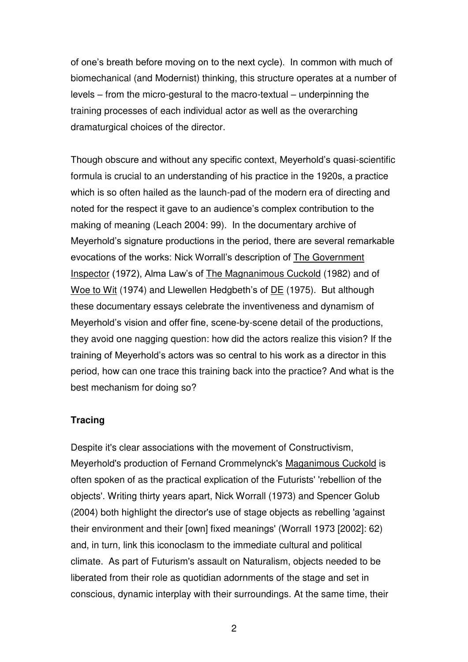of one's breath before moving on to the next cycle). In common with much of biomechanical (and Modernist) thinking, this structure operates at a number of levels – from the micro-gestural to the macro-textual – underpinning the training processes of each individual actor as well as the overarching dramaturgical choices of the director.

Though obscure and without any specific context, Meyerhold's quasi-scientific formula is crucial to an understanding of his practice in the 1920s, a practice which is so often hailed as the launch-pad of the modern era of directing and noted for the respect it gave to an audience's complex contribution to the making of meaning (Leach 2004: 99). In the documentary archive of Meyerhold's signature productions in the period, there are several remarkable evocations of the works: Nick Worrall's description of The Government Inspector (1972), Alma Law's of The Magnanimous Cuckold (1982) and of Woe to Wit (1974) and Llewellen Hedgbeth's of DE (1975). But although these documentary essays celebrate the inventiveness and dynamism of Meyerhold's vision and offer fine, scene-by-scene detail of the productions, they avoid one nagging question: how did the actors realize this vision? If the training of Meyerhold's actors was so central to his work as a director in this period, how can one trace this training back into the practice? And what is the best mechanism for doing so?

### **Tracing**

Despite it's clear associations with the movement of Constructivism, Meyerhold's production of Fernand Crommelynck's Maganimous Cuckold is often spoken of as the practical explication of the Futurists' 'rebellion of the objects'. Writing thirty years apart, Nick Worrall (1973) and Spencer Golub (2004) both highlight the director's use of stage objects as rebelling 'against their environment and their [own] fixed meanings' (Worrall 1973 [2002]: 62) and, in turn, link this iconoclasm to the immediate cultural and political climate. As part of Futurism's assault on Naturalism, objects needed to be liberated from their role as quotidian adornments of the stage and set in conscious, dynamic interplay with their surroundings. At the same time, their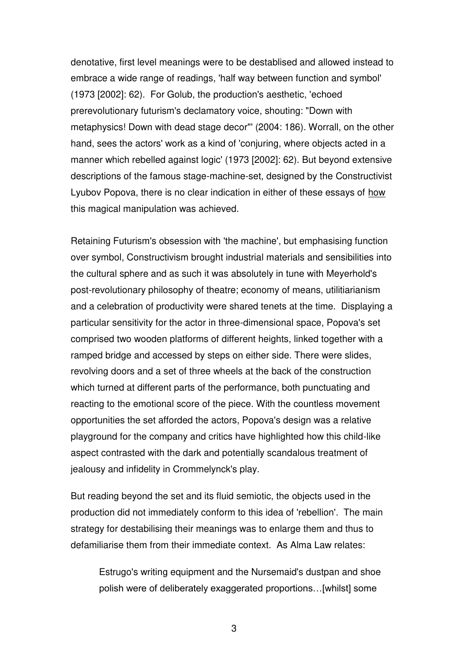denotative, first level meanings were to be destablised and allowed instead to embrace a wide range of readings, 'half way between function and symbol' (1973 [2002]: 62). For Golub, the production's aesthetic, 'echoed prerevolutionary futurism's declamatory voice, shouting: "Down with metaphysics! Down with dead stage decor"' (2004: 186). Worrall, on the other hand, sees the actors' work as a kind of 'conjuring, where objects acted in a manner which rebelled against logic' (1973 [2002]: 62). But beyond extensive descriptions of the famous stage-machine-set, designed by the Constructivist Lyubov Popova, there is no clear indication in either of these essays of how this magical manipulation was achieved.

Retaining Futurism's obsession with 'the machine', but emphasising function over symbol, Constructivism brought industrial materials and sensibilities into the cultural sphere and as such it was absolutely in tune with Meyerhold's post-revolutionary philosophy of theatre; economy of means, utilitiarianism and a celebration of productivity were shared tenets at the time. Displaying a particular sensitivity for the actor in three-dimensional space, Popova's set comprised two wooden platforms of different heights, linked together with a ramped bridge and accessed by steps on either side. There were slides, revolving doors and a set of three wheels at the back of the construction which turned at different parts of the performance, both punctuating and reacting to the emotional score of the piece. With the countless movement opportunities the set afforded the actors, Popova's design was a relative playground for the company and critics have highlighted how this child-like aspect contrasted with the dark and potentially scandalous treatment of jealousy and infidelity in Crommelynck's play.

But reading beyond the set and its fluid semiotic, the objects used in the production did not immediately conform to this idea of 'rebellion'. The main strategy for destabilising their meanings was to enlarge them and thus to defamiliarise them from their immediate context. As Alma Law relates:

Estrugo's writing equipment and the Nursemaid's dustpan and shoe polish were of deliberately exaggerated proportions…[whilst] some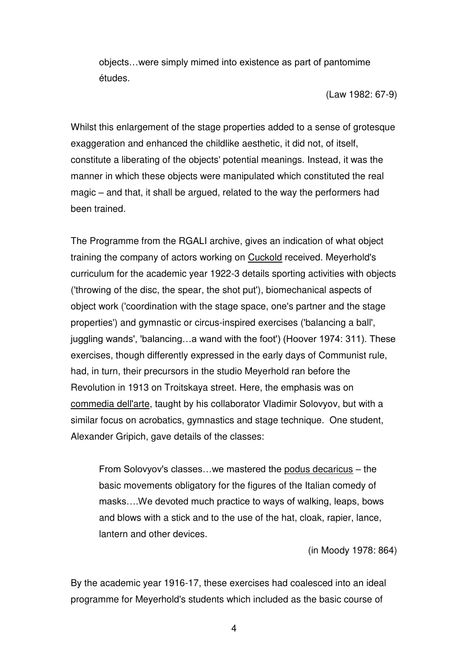objects…were simply mimed into existence as part of pantomime études.

(Law 1982: 67-9)

Whilst this enlargement of the stage properties added to a sense of grotesque exaggeration and enhanced the childlike aesthetic, it did not, of itself, constitute a liberating of the objects' potential meanings. Instead, it was the manner in which these objects were manipulated which constituted the real magic – and that, it shall be argued, related to the way the performers had been trained.

The Programme from the RGALI archive, gives an indication of what object training the company of actors working on Cuckold received. Meyerhold's curriculum for the academic year 1922-3 details sporting activities with objects ('throwing of the disc, the spear, the shot put'), biomechanical aspects of object work ('coordination with the stage space, one's partner and the stage properties') and gymnastic or circus-inspired exercises ('balancing a ball', juggling wands', 'balancing…a wand with the foot') (Hoover 1974: 311). These exercises, though differently expressed in the early days of Communist rule, had, in turn, their precursors in the studio Meyerhold ran before the Revolution in 1913 on Troitskaya street. Here, the emphasis was on commedia dell'arte, taught by his collaborator Vladimir Solovyov, but with a similar focus on acrobatics, gymnastics and stage technique. One student, Alexander Gripich, gave details of the classes:

From Solovyov's classes…we mastered the podus decaricus – the basic movements obligatory for the figures of the Italian comedy of masks….We devoted much practice to ways of walking, leaps, bows and blows with a stick and to the use of the hat, cloak, rapier, lance, lantern and other devices.

(in Moody 1978: 864)

By the academic year 1916-17, these exercises had coalesced into an ideal programme for Meyerhold's students which included as the basic course of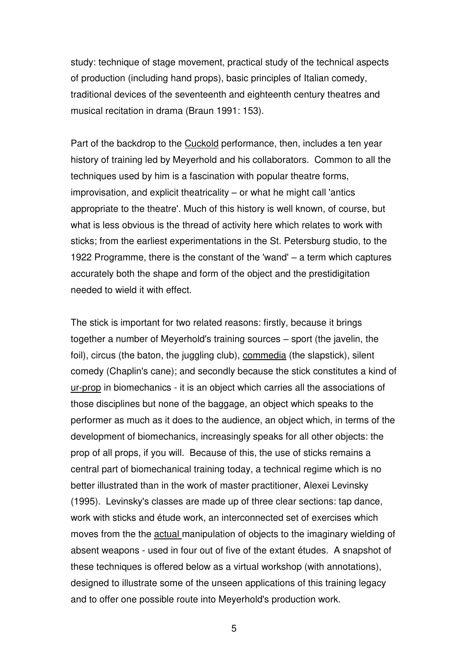study: technique of stage movement, practical study of the technical aspects of production (including hand props), basic principles of Italian comedy, traditional devices of the seventeenth and eighteenth century theatres and musical recitation in drama (Braun 1991: 153).

Part of the backdrop to the Cuckold performance, then, includes a ten year history of training led by Meyerhold and his collaborators. Common to all the techniques used by him is a fascination with popular theatre forms, improvisation, and explicit theatricality – or what he might call 'antics appropriate to the theatre'. Much of this history is well known, of course, but what is less obvious is the thread of activity here which relates to work with sticks; from the earliest experimentations in the St. Petersburg studio, to the 1922 Programme, there is the constant of the 'wand' – a term which captures accurately both the shape and form of the object and the prestidigitation needed to wield it with effect.

The stick is important for two related reasons: firstly, because it brings together a number of Meyerhold's training sources – sport (the javelin, the foil), circus (the baton, the juggling club), commedia (the slapstick), silent comedy (Chaplin's cane); and secondly because the stick constitutes a kind of ur-prop in biomechanics - it is an object which carries all the associations of those disciplines but none of the baggage, an object which speaks to the performer as much as it does to the audience, an object which, in terms of the development of biomechanics, increasingly speaks for all other objects: the prop of all props, if you will. Because of this, the use of sticks remains a central part of biomechanical training today, a technical regime which is no better illustrated than in the work of master practitioner, Alexei Levinsky (1995). Levinsky's classes are made up of three clear sections: tap dance, work with sticks and étude work, an interconnected set of exercises which moves from the the actual manipulation of objects to the imaginary wielding of absent weapons - used in four out of five of the extant études. A snapshot of these techniques is offered below as a virtual workshop (with annotations), designed to illustrate some of the unseen applications of this training legacy and to offer one possible route into Meyerhold's production work.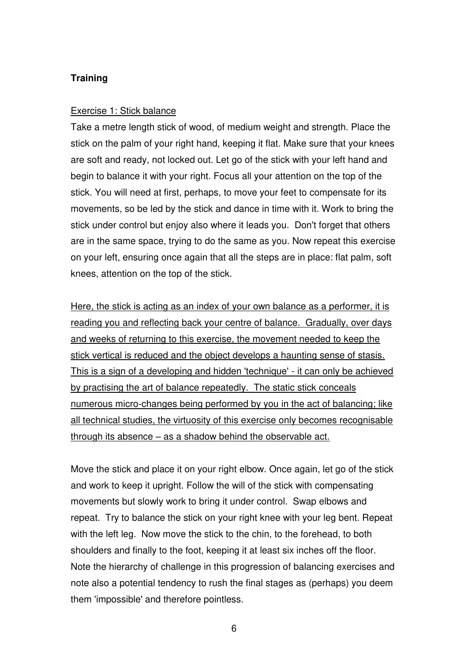### **Training**

### Exercise 1: Stick balance

Take a metre length stick of wood, of medium weight and strength. Place the stick on the palm of your right hand, keeping it flat. Make sure that your knees are soft and ready, not locked out. Let go of the stick with your left hand and begin to balance it with your right. Focus all your attention on the top of the stick. You will need at first, perhaps, to move your feet to compensate for its movements, so be led by the stick and dance in time with it. Work to bring the stick under control but enjoy also where it leads you. Don't forget that others are in the same space, trying to do the same as you. Now repeat this exercise on your left, ensuring once again that all the steps are in place: flat palm, soft knees, attention on the top of the stick.

Here, the stick is acting as an index of your own balance as a performer, it is reading you and reflecting back your centre of balance. Gradually, over days and weeks of returning to this exercise, the movement needed to keep the stick vertical is reduced and the object develops a haunting sense of stasis. This is a sign of a developing and hidden 'technique' - it can only be achieved by practising the art of balance repeatedly. The static stick conceals numerous micro-changes being performed by you in the act of balancing; like all technical studies, the virtuosity of this exercise only becomes recognisable through its absence – as a shadow behind the observable act.

Move the stick and place it on your right elbow. Once again, let go of the stick and work to keep it upright. Follow the will of the stick with compensating movements but slowly work to bring it under control. Swap elbows and repeat. Try to balance the stick on your right knee with your leg bent. Repeat with the left leg. Now move the stick to the chin, to the forehead, to both shoulders and finally to the foot, keeping it at least six inches off the floor. Note the hierarchy of challenge in this progression of balancing exercises and note also a potential tendency to rush the final stages as (perhaps) you deem them 'impossible' and therefore pointless.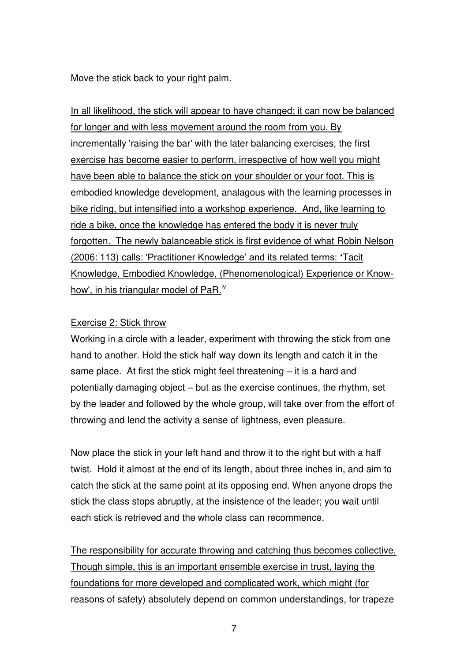Move the stick back to your right palm.

In all likelihood, the stick will appear to have changed; it can now be balanced for longer and with less movement around the room from you. By incrementally 'raising the bar' with the later balancing exercises, the first exercise has become easier to perform, irrespective of how well you might have been able to balance the stick on your shoulder or your foot. This is embodied knowledge development, analagous with the learning processes in bike riding, but intensified into a workshop experience. And, like learning to ride a bike, once the knowledge has entered the body it is never truly forgotten. The newly balanceable stick is first evidence of what Robin Nelson (2006: 113) calls: 'Practitioner Knowledge' and its related terms: **'**Tacit Knowledge, Embodied Knowledge, (Phenomenological) Experience or Knowhow', in his triangular model of PaR.<sup>iv</sup>

### Exercise 2: Stick throw

Working in a circle with a leader, experiment with throwing the stick from one hand to another. Hold the stick half way down its length and catch it in the same place. At first the stick might feel threatening – it is a hard and potentially damaging object – but as the exercise continues, the rhythm, set by the leader and followed by the whole group, will take over from the effort of throwing and lend the activity a sense of lightness, even pleasure.

Now place the stick in your left hand and throw it to the right but with a half twist. Hold it almost at the end of its length, about three inches in, and aim to catch the stick at the same point at its opposing end. When anyone drops the stick the class stops abruptly, at the insistence of the leader; you wait until each stick is retrieved and the whole class can recommence.

The responsibility for accurate throwing and catching thus becomes collective. Though simple, this is an important ensemble exercise in trust, laying the foundations for more developed and complicated work, which might (for reasons of safety) absolutely depend on common understandings, for trapeze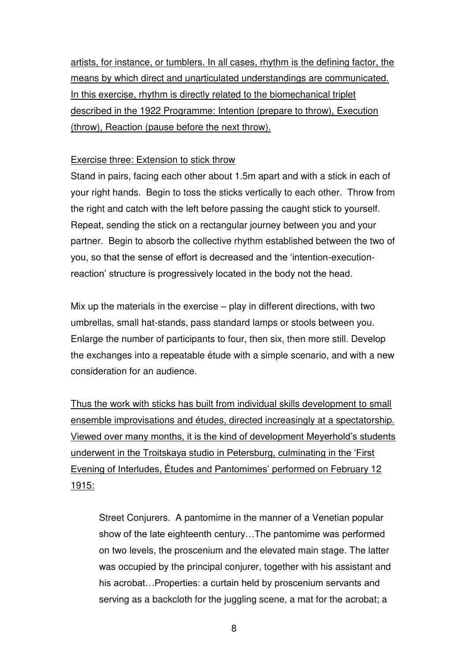artists, for instance, or tumblers. In all cases, rhythm is the defining factor, the means by which direct and unarticulated understandings are communicated. In this exercise, rhythm is directly related to the biomechanical triplet described in the 1922 Programme: Intention (prepare to throw), Execution (throw), Reaction (pause before the next throw).

### Exercise three: Extension to stick throw

Stand in pairs, facing each other about 1.5m apart and with a stick in each of your right hands. Begin to toss the sticks vertically to each other. Throw from the right and catch with the left before passing the caught stick to yourself. Repeat, sending the stick on a rectangular journey between you and your partner. Begin to absorb the collective rhythm established between the two of you, so that the sense of effort is decreased and the 'intention-executionreaction' structure is progressively located in the body not the head.

Mix up the materials in the exercise – play in different directions, with two umbrellas, small hat-stands, pass standard lamps or stools between you. Enlarge the number of participants to four, then six, then more still. Develop the exchanges into a repeatable étude with a simple scenario, and with a new consideration for an audience.

Thus the work with sticks has built from individual skills development to small ensemble improvisations and études, directed increasingly at a spectatorship. Viewed over many months, it is the kind of development Meyerhold's students underwent in the Troitskaya studio in Petersburg, culminating in the 'First Evening of Interludes, Études and Pantomimes' performed on February 12 1915:

Street Conjurers. A pantomime in the manner of a Venetian popular show of the late eighteenth century…The pantomime was performed on two levels, the proscenium and the elevated main stage. The latter was occupied by the principal conjurer, together with his assistant and his acrobat... Properties: a curtain held by proscenium servants and serving as a backcloth for the juggling scene, a mat for the acrobat; a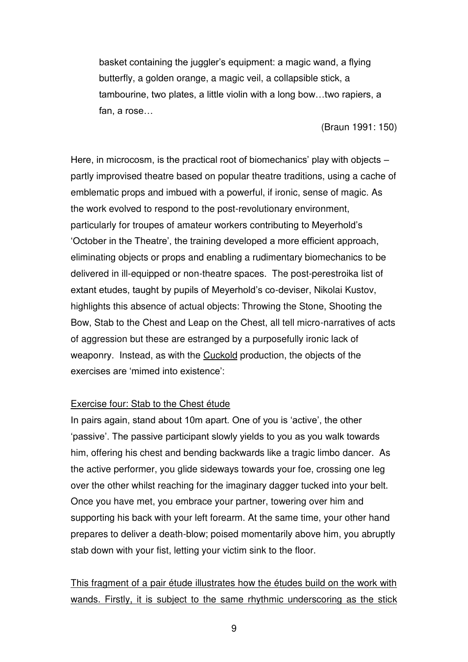basket containing the juggler's equipment: a magic wand, a flying butterfly, a golden orange, a magic veil, a collapsible stick, a tambourine, two plates, a little violin with a long bow…two rapiers, a fan, a rose…

(Braun 1991: 150)

Here, in microcosm, is the practical root of biomechanics' play with objects – partly improvised theatre based on popular theatre traditions, using a cache of emblematic props and imbued with a powerful, if ironic, sense of magic. As the work evolved to respond to the post-revolutionary environment, particularly for troupes of amateur workers contributing to Meyerhold's 'October in the Theatre', the training developed a more efficient approach, eliminating objects or props and enabling a rudimentary biomechanics to be delivered in ill-equipped or non-theatre spaces. The post-perestroika list of extant etudes, taught by pupils of Meyerhold's co-deviser, Nikolai Kustov, highlights this absence of actual objects: Throwing the Stone, Shooting the Bow, Stab to the Chest and Leap on the Chest, all tell micro-narratives of acts of aggression but these are estranged by a purposefully ironic lack of weaponry. Instead, as with the Cuckold production, the objects of the exercises are 'mimed into existence':

### Exercise four: Stab to the Chest étude

In pairs again, stand about 10m apart. One of you is 'active', the other 'passive'. The passive participant slowly yields to you as you walk towards him, offering his chest and bending backwards like a tragic limbo dancer. As the active performer, you glide sideways towards your foe, crossing one leg over the other whilst reaching for the imaginary dagger tucked into your belt. Once you have met, you embrace your partner, towering over him and supporting his back with your left forearm. At the same time, your other hand prepares to deliver a death-blow; poised momentarily above him, you abruptly stab down with your fist, letting your victim sink to the floor.

# This fragment of a pair étude illustrates how the études build on the work with wands. Firstly, it is subject to the same rhythmic underscoring as the stick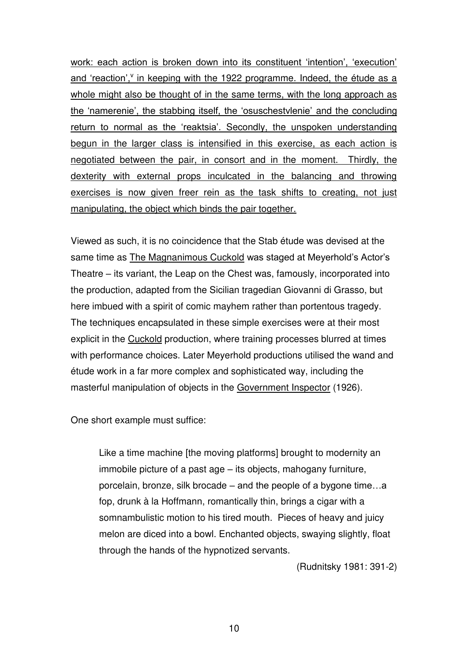work: each action is broken down into its constituent 'intention', 'execution' and 'reaction', in keeping with the 1922 programme. Indeed, the étude as a whole might also be thought of in the same terms, with the long approach as the 'namerenie', the stabbing itself, the 'osuschestvlenie' and the concluding return to normal as the 'reaktsia'. Secondly, the unspoken understanding begun in the larger class is intensified in this exercise, as each action is negotiated between the pair, in consort and in the moment. Thirdly, the dexterity with external props inculcated in the balancing and throwing exercises is now given freer rein as the task shifts to creating, not just manipulating, the object which binds the pair together.

Viewed as such, it is no coincidence that the Stab étude was devised at the same time as The Magnanimous Cuckold was staged at Meyerhold's Actor's Theatre – its variant, the Leap on the Chest was, famously, incorporated into the production, adapted from the Sicilian tragedian Giovanni di Grasso, but here imbued with a spirit of comic mayhem rather than portentous tragedy. The techniques encapsulated in these simple exercises were at their most explicit in the Cuckold production, where training processes blurred at times with performance choices. Later Meyerhold productions utilised the wand and étude work in a far more complex and sophisticated way, including the masterful manipulation of objects in the Government Inspector (1926).

One short example must suffice:

Like a time machine [the moving platforms] brought to modernity an immobile picture of a past age – its objects, mahogany furniture, porcelain, bronze, silk brocade – and the people of a bygone time…a fop, drunk à la Hoffmann, romantically thin, brings a cigar with a somnambulistic motion to his tired mouth. Pieces of heavy and juicy melon are diced into a bowl. Enchanted objects, swaying slightly, float through the hands of the hypnotized servants.

(Rudnitsky 1981: 391-2)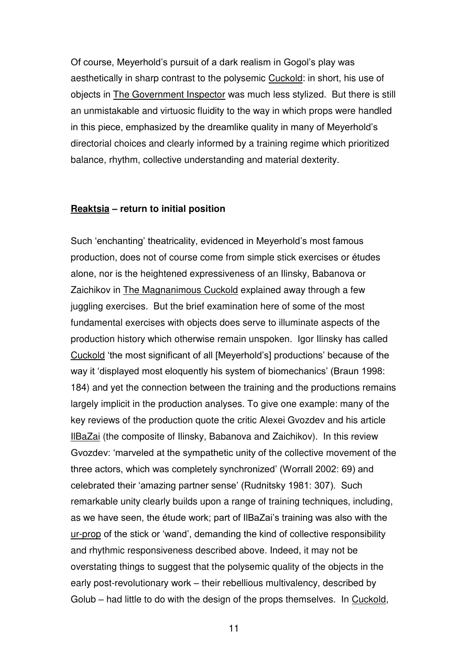Of course, Meyerhold's pursuit of a dark realism in Gogol's play was aesthetically in sharp contrast to the polysemic Cuckold: in short, his use of objects in The Government Inspector was much less stylized. But there is still an unmistakable and virtuosic fluidity to the way in which props were handled in this piece, emphasized by the dreamlike quality in many of Meyerhold's directorial choices and clearly informed by a training regime which prioritized balance, rhythm, collective understanding and material dexterity.

#### **Reaktsia – return to initial position**

Such 'enchanting' theatricality, evidenced in Meyerhold's most famous production, does not of course come from simple stick exercises or études alone, nor is the heightened expressiveness of an Ilinsky, Babanova or Zaichikov in The Magnanimous Cuckold explained away through a few juggling exercises. But the brief examination here of some of the most fundamental exercises with objects does serve to illuminate aspects of the production history which otherwise remain unspoken. Igor Ilinsky has called Cuckold 'the most significant of all [Meyerhold's] productions' because of the way it 'displayed most eloquently his system of biomechanics' (Braun 1998: 184) and yet the connection between the training and the productions remains largely implicit in the production analyses. To give one example: many of the key reviews of the production quote the critic Alexei Gvozdev and his article IlBaZai (the composite of Ilinsky, Babanova and Zaichikov). In this review Gvozdev: 'marveled at the sympathetic unity of the collective movement of the three actors, which was completely synchronized' (Worrall 2002: 69) and celebrated their 'amazing partner sense' (Rudnitsky 1981: 307). Such remarkable unity clearly builds upon a range of training techniques, including, as we have seen, the étude work; part of IlBaZai's training was also with the ur-prop of the stick or 'wand', demanding the kind of collective responsibility and rhythmic responsiveness described above. Indeed, it may not be overstating things to suggest that the polysemic quality of the objects in the early post-revolutionary work – their rebellious multivalency, described by Golub – had little to do with the design of the props themselves. In Cuckold,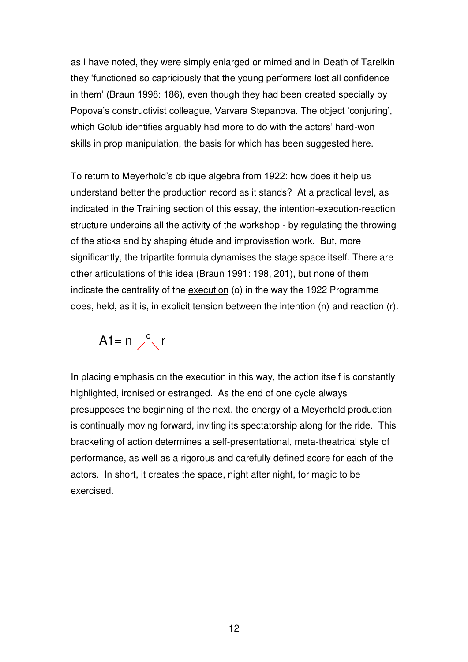as I have noted, they were simply enlarged or mimed and in Death of Tarelkin they 'functioned so capriciously that the young performers lost all confidence in them' (Braun 1998: 186), even though they had been created specially by Popova's constructivist colleague, Varvara Stepanova. The object 'conjuring', which Golub identifies arguably had more to do with the actors' hard-won skills in prop manipulation, the basis for which has been suggested here.

To return to Meyerhold's oblique algebra from 1922: how does it help us understand better the production record as it stands? At a practical level, as indicated in the Training section of this essay, the intention-execution-reaction structure underpins all the activity of the workshop - by regulating the throwing of the sticks and by shaping étude and improvisation work. But, more significantly, the tripartite formula dynamises the stage space itself. There are other articulations of this idea (Braun 1991: 198, 201), but none of them indicate the centrality of the execution (o) in the way the 1922 Programme does, held, as it is, in explicit tension between the intention (n) and reaction (r).



In placing emphasis on the execution in this way, the action itself is constantly highlighted, ironised or estranged. As the end of one cycle always presupposes the beginning of the next, the energy of a Meyerhold production is continually moving forward, inviting its spectatorship along for the ride. This bracketing of action determines a self-presentational, meta-theatrical style of performance, as well as a rigorous and carefully defined score for each of the actors. In short, it creates the space, night after night, for magic to be exercised.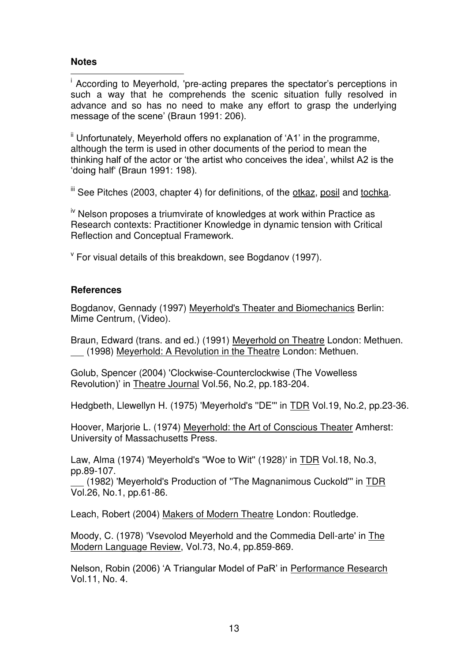### **Notes**

 i According to Meyerhold, 'pre-acting prepares the spectator's perceptions in such a way that he comprehends the scenic situation fully resolved in advance and so has no need to make any effort to grasp the underlying message of the scene' (Braun 1991: 206).

<sup>ii</sup> Unfortunately, Meyerhold offers no explanation of 'A1' in the programme, although the term is used in other documents of the period to mean the thinking half of the actor or 'the artist who conceives the idea', whilst A2 is the 'doing half' (Braun 1991: 198).

iii See Pitches (2003, chapter 4) for definitions, of the otkaz, posil and tochka.

 $\mu$ <sup>iv</sup> Nelson proposes a triumvirate of knowledges at work within Practice as Research contexts: Practitioner Knowledge in dynamic tension with Critical Reflection and Conceptual Framework.

v For visual details of this breakdown, see Bogdanov (1997).

### **References**

Bogdanov, Gennady (1997) Meyerhold's Theater and Biomechanics Berlin: Mime Centrum, (Video).

Braun, Edward (trans. and ed.) (1991) Meyerhold on Theatre London: Methuen. (1998) Meyerhold: A Revolution in the Theatre London: Methuen.

Golub, Spencer (2004) 'Clockwise-Counterclockwise (The Vowelless Revolution)' in Theatre Journal Vol.56, No.2, pp.183-204.

Hedgbeth, Llewellyn H. (1975) 'Meyerhold's ''DE''' in TDR Vol.19, No.2, pp.23-36.

Hoover, Marjorie L. (1974) Meyerhold: the Art of Conscious Theater Amherst: University of Massachusetts Press.

Law, Alma (1974) 'Meyerhold's ''Woe to Wit'' (1928)' in TDR Vol.18, No.3, pp.89-107.

 (1982) 'Meyerhold's Production of ''The Magnanimous Cuckold''' in TDR Vol.26, No.1, pp.61-86.

Leach, Robert (2004) Makers of Modern Theatre London: Routledge.

Moody, C. (1978) 'Vsevolod Meyerhold and the Commedia Dell-arte' in The Modern Language Review, Vol.73, No.4, pp.859-869.

Nelson, Robin (2006) 'A Triangular Model of PaR' in Performance Research Vol.11, No. 4.